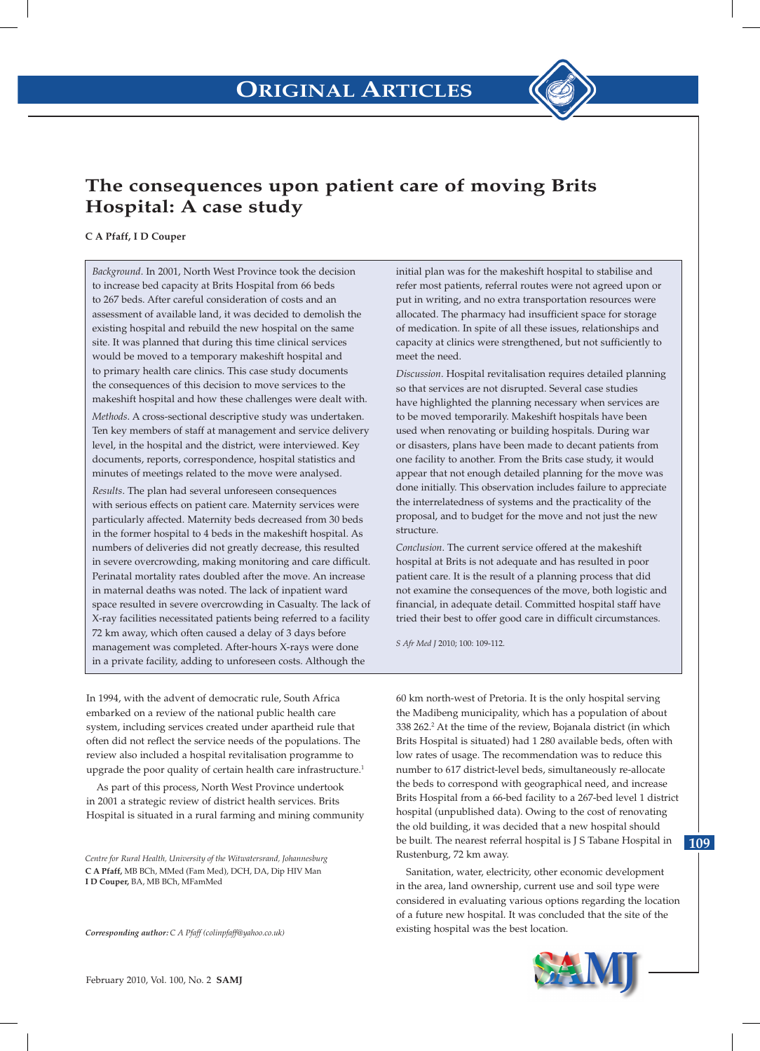

# **The consequences upon patient care of moving Brits Hospital: A case study**

### **C A Pfaff, I D Couper**

*Background*. In 2001, North West Province took the decision to increase bed capacity at Brits Hospital from 66 beds to 267 beds. After careful consideration of costs and an assessment of available land, it was decided to demolish the existing hospital and rebuild the new hospital on the same site. It was planned that during this time clinical services would be moved to a temporary makeshift hospital and to primary health care clinics. This case study documents the consequences of this decision to move services to the makeshift hospital and how these challenges were dealt with.

*Methods*. A cross-sectional descriptive study was undertaken. Ten key members of staff at management and service delivery level, in the hospital and the district, were interviewed. Key documents, reports, correspondence, hospital statistics and minutes of meetings related to the move were analysed.

*Results*. The plan had several unforeseen consequences with serious effects on patient care. Maternity services were particularly affected. Maternity beds decreased from 30 beds in the former hospital to 4 beds in the makeshift hospital. As numbers of deliveries did not greatly decrease, this resulted in severe overcrowding, making monitoring and care difficult. Perinatal mortality rates doubled after the move. An increase in maternal deaths was noted. The lack of inpatient ward space resulted in severe overcrowding in Casualty. The lack of X-ray facilities necessitated patients being referred to a facility 72 km away, which often caused a delay of 3 days before management was completed. After-hours X-rays were done in a private facility, adding to unforeseen costs. Although the

initial plan was for the makeshift hospital to stabilise and refer most patients, referral routes were not agreed upon or put in writing, and no extra transportation resources were allocated. The pharmacy had insufficient space for storage of medication. In spite of all these issues, relationships and capacity at clinics were strengthened, but not sufficiently to meet the need.

*Discussion*. Hospital revitalisation requires detailed planning so that services are not disrupted. Several case studies have highlighted the planning necessary when services are to be moved temporarily. Makeshift hospitals have been used when renovating or building hospitals. During war or disasters, plans have been made to decant patients from one facility to another. From the Brits case study, it would appear that not enough detailed planning for the move was done initially. This observation includes failure to appreciate the interrelatedness of systems and the practicality of the proposal, and to budget for the move and not just the new structure.

*Conclusion*. The current service offered at the makeshift hospital at Brits is not adequate and has resulted in poor patient care. It is the result of a planning process that did not examine the consequences of the move, both logistic and financial, in adequate detail. Committed hospital staff have tried their best to offer good care in difficult circumstances.

*S Afr Med J* 2010; 100: 109-112.

In 1994, with the advent of democratic rule, South Africa embarked on a review of the national public health care system, including services created under apartheid rule that often did not reflect the service needs of the populations. The review also included a hospital revitalisation programme to upgrade the poor quality of certain health care infrastructure.<sup>1</sup>

As part of this process, North West Province undertook in 2001 a strategic review of district health services. Brits Hospital is situated in a rural farming and mining community

*Centre for Rural Health, University of the Witwatersrand, Johannesburg* **C A Pfaff,** MB BCh, MMed (Fam Med), DCH, DA, Dip HIV Man **I D Couper,** BA, MB BCh, MFamMed

*Corresponding author: C A Pfaff (colinpfaff@yahoo.co.uk)*

60 km north-west of Pretoria. It is the only hospital serving the Madibeng municipality, which has a population of about 338 262.<sup>2</sup> At the time of the review, Bojanala district (in which Brits Hospital is situated) had 1 280 available beds, often with low rates of usage. The recommendation was to reduce this number to 617 district-level beds, simultaneously re-allocate the beds to correspond with geographical need, and increase Brits Hospital from a 66-bed facility to a 267-bed level 1 district hospital (unpublished data). Owing to the cost of renovating the old building, it was decided that a new hospital should be built. The nearest referral hospital is J S Tabane Hospital in Rustenburg, 72 km away.

Sanitation, water, electricity, other economic development in the area, land ownership, current use and soil type were considered in evaluating various options regarding the location of a future new hospital. It was concluded that the site of the existing hospital was the best location.



**109**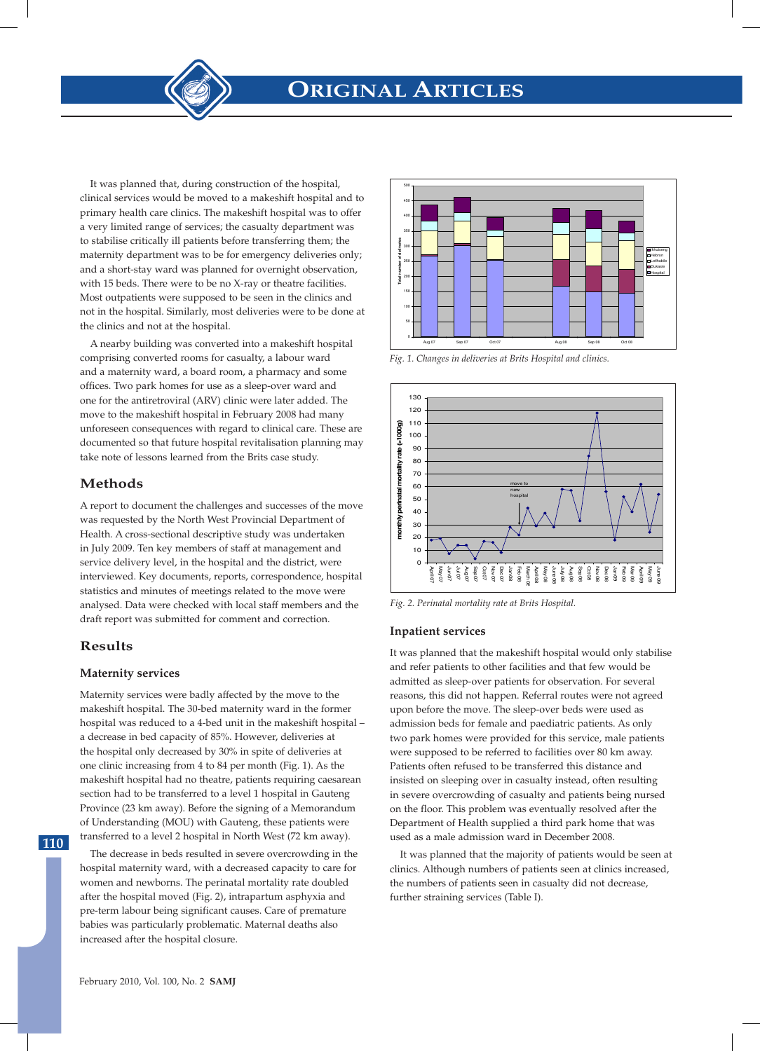**ORIGINAL ARTICLES**

It was planned that, during construction of the hospital, clinical services would be moved to a makeshift hospital and to primary health care clinics. The makeshift hospital was to offer a very limited range of services; the casualty department was to stabilise critically ill patients before transferring them; the maternity department was to be for emergency deliveries only; and a short-stay ward was planned for overnight observation, with 15 beds. There were to be no X-ray or theatre facilities. Most outpatients were supposed to be seen in the clinics and not in the hospital. Similarly, most deliveries were to be done at the clinics and not at the hospital.

A nearby building was converted into a makeshift hospital comprising converted rooms for casualty, a labour ward and a maternity ward, a board room, a pharmacy and some offices. Two park homes for use as a sleep-over ward and one for the antiretroviral (ARV) clinic were later added. The move to the makeshift hospital in February 2008 had many unforeseen consequences with regard to clinical care. These are documented so that future hospital revitalisation planning may take note of lessons learned from the Brits case study.

# **Methods**

A report to document the challenges and successes of the move was requested by the North West Provincial Department of Health. A cross-sectional descriptive study was undertaken in July 2009. Ten key members of staff at management and service delivery level, in the hospital and the district, were interviewed. Key documents, reports, correspondence, hospital statistics and minutes of meetings related to the move were analysed. Data were checked with local staff members and the draft report was submitted for comment and correction.

# **Results**

### **Maternity services**

Maternity services were badly affected by the move to the makeshift hospital. The 30-bed maternity ward in the former hospital was reduced to a 4-bed unit in the makeshift hospital – a decrease in bed capacity of 85%. However, deliveries at the hospital only decreased by 30% in spite of deliveries at one clinic increasing from 4 to 84 per month (Fig. 1). As the makeshift hospital had no theatre, patients requiring caesarean section had to be transferred to a level 1 hospital in Gauteng Province (23 km away). Before the signing of a Memorandum of Understanding (MOU) with Gauteng, these patients were transferred to a level 2 hospital in North West (72 km away).

The decrease in beds resulted in severe overcrowding in the hospital maternity ward, with a decreased capacity to care for women and newborns. The perinatal mortality rate doubled after the hospital moved (Fig. 2), intrapartum asphyxia and pre-term labour being significant causes. Care of premature babies was particularly problematic. Maternal deaths also increased after the hospital closure.



*Fig. 1. Changes in deliveries at Brits Hospital and clinics. Fig. 1. Changes in deliveries at Brits Hospital and clinics.*



*Fig. 2. Perinatal mortality rate at Brits Hospital. Fig. 2. Perinatal mortality rate at Brits Hospital.*

#### **Inpatient services**

It was planned that the makeshift hospital would only stabilise and refer patients to other facilities and that few would be admitted as sleep-over patients for observation. For several reasons, this did not happen. Referral routes were not agreed upon before the move. The sleep-over beds were used as admission beds for female and paediatric patients. As only two park homes were provided for this service, male patients were supposed to be referred to facilities over 80 km away. Patients often refused to be transferred this distance and insisted on sleeping over in casualty instead, often resulting in severe overcrowding of casualty and patients being nursed on the floor. This problem was eventually resolved after the Department of Health supplied a third park home that was used as a male admission ward in December 2008.

It was planned that the majority of patients would be seen at clinics. Although numbers of patients seen at clinics increased, the numbers of patients seen in casualty did not decrease, further straining services (Table I).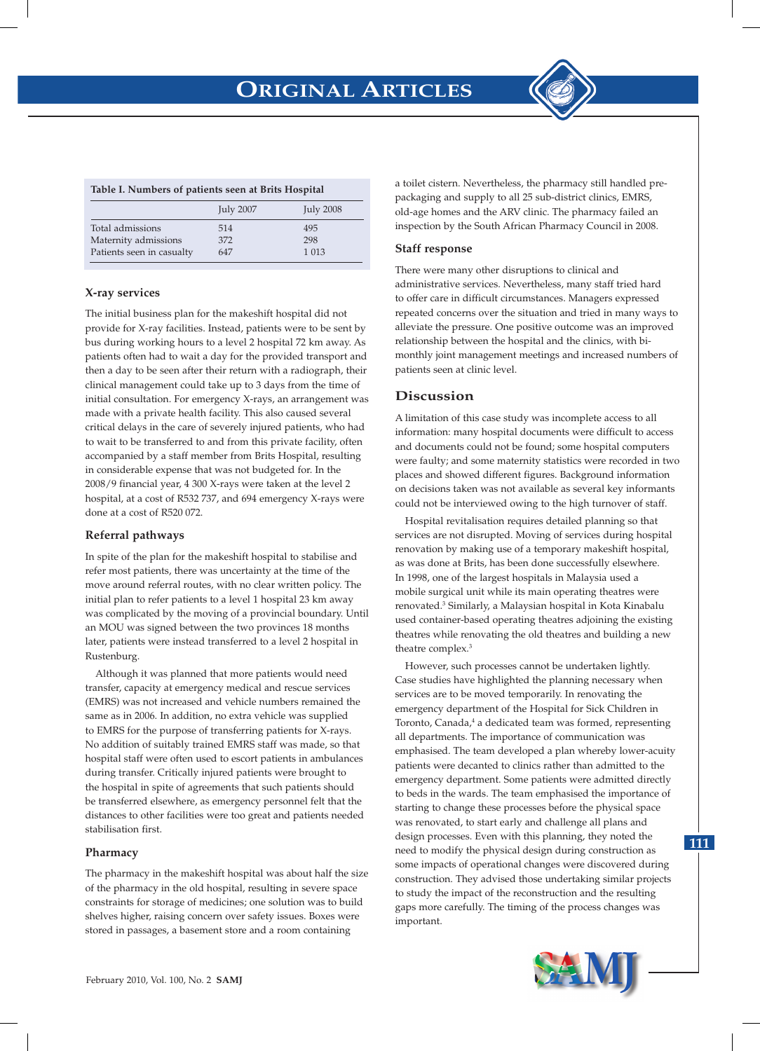#### **Table I. Numbers of patients seen at Brits Hospital**

|                           | <b>July 2007</b> | <b>July 2008</b> |
|---------------------------|------------------|------------------|
| Total admissions          | 514              | 495              |
| Maternity admissions      | 372              | 298              |
| Patients seen in casualty | 647              | 1 0 1 3          |

#### **X-ray services**

The initial business plan for the makeshift hospital did not provide for X-ray facilities. Instead, patients were to be sent by bus during working hours to a level 2 hospital 72 km away. As patients often had to wait a day for the provided transport and then a day to be seen after their return with a radiograph, their clinical management could take up to 3 days from the time of initial consultation. For emergency X-rays, an arrangement was made with a private health facility. This also caused several critical delays in the care of severely injured patients, who had to wait to be transferred to and from this private facility, often accompanied by a staff member from Brits Hospital, resulting in considerable expense that was not budgeted for. In the 2008/9 financial year, 4 300 X-rays were taken at the level 2 hospital, at a cost of R532 737, and 694 emergency X-rays were done at a cost of R520 072.

### **Referral pathways**

In spite of the plan for the makeshift hospital to stabilise and refer most patients, there was uncertainty at the time of the move around referral routes, with no clear written policy. The initial plan to refer patients to a level 1 hospital 23 km away was complicated by the moving of a provincial boundary. Until an MOU was signed between the two provinces 18 months later, patients were instead transferred to a level 2 hospital in Rustenburg.

Although it was planned that more patients would need transfer, capacity at emergency medical and rescue services (EMRS) was not increased and vehicle numbers remained the same as in 2006. In addition, no extra vehicle was supplied to EMRS for the purpose of transferring patients for X-rays. No addition of suitably trained EMRS staff was made, so that hospital staff were often used to escort patients in ambulances during transfer. Critically injured patients were brought to the hospital in spite of agreements that such patients should be transferred elsewhere, as emergency personnel felt that the distances to other facilities were too great and patients needed stabilisation first.

#### **Pharmacy**

The pharmacy in the makeshift hospital was about half the size of the pharmacy in the old hospital, resulting in severe space constraints for storage of medicines; one solution was to build shelves higher, raising concern over safety issues. Boxes were stored in passages, a basement store and a room containing

a toilet cistern. Nevertheless, the pharmacy still handled prepackaging and supply to all 25 sub-district clinics, EMRS, old-age homes and the ARV clinic. The pharmacy failed an inspection by the South African Pharmacy Council in 2008.

#### **Staff response**

There were many other disruptions to clinical and administrative services. Nevertheless, many staff tried hard to offer care in difficult circumstances. Managers expressed repeated concerns over the situation and tried in many ways to alleviate the pressure. One positive outcome was an improved relationship between the hospital and the clinics, with bimonthly joint management meetings and increased numbers of patients seen at clinic level.

### **Discussion**

A limitation of this case study was incomplete access to all information: many hospital documents were difficult to access and documents could not be found; some hospital computers were faulty; and some maternity statistics were recorded in two places and showed different figures. Background information on decisions taken was not available as several key informants could not be interviewed owing to the high turnover of staff.

Hospital revitalisation requires detailed planning so that services are not disrupted. Moving of services during hospital renovation by making use of a temporary makeshift hospital, as was done at Brits, has been done successfully elsewhere. In 1998, one of the largest hospitals in Malaysia used a mobile surgical unit while its main operating theatres were renovated.3 Similarly, a Malaysian hospital in Kota Kinabalu used container-based operating theatres adjoining the existing theatres while renovating the old theatres and building a new theatre complex.3

However, such processes cannot be undertaken lightly. Case studies have highlighted the planning necessary when services are to be moved temporarily. In renovating the emergency department of the Hospital for Sick Children in Toronto, Canada,<sup>4</sup> a dedicated team was formed, representing all departments. The importance of communication was emphasised. The team developed a plan whereby lower-acuity patients were decanted to clinics rather than admitted to the emergency department. Some patients were admitted directly to beds in the wards. The team emphasised the importance of starting to change these processes before the physical space was renovated, to start early and challenge all plans and design processes. Even with this planning, they noted the need to modify the physical design during construction as some impacts of operational changes were discovered during construction. They advised those undertaking similar projects to study the impact of the reconstruction and the resulting gaps more carefully. The timing of the process changes was important.



**111**